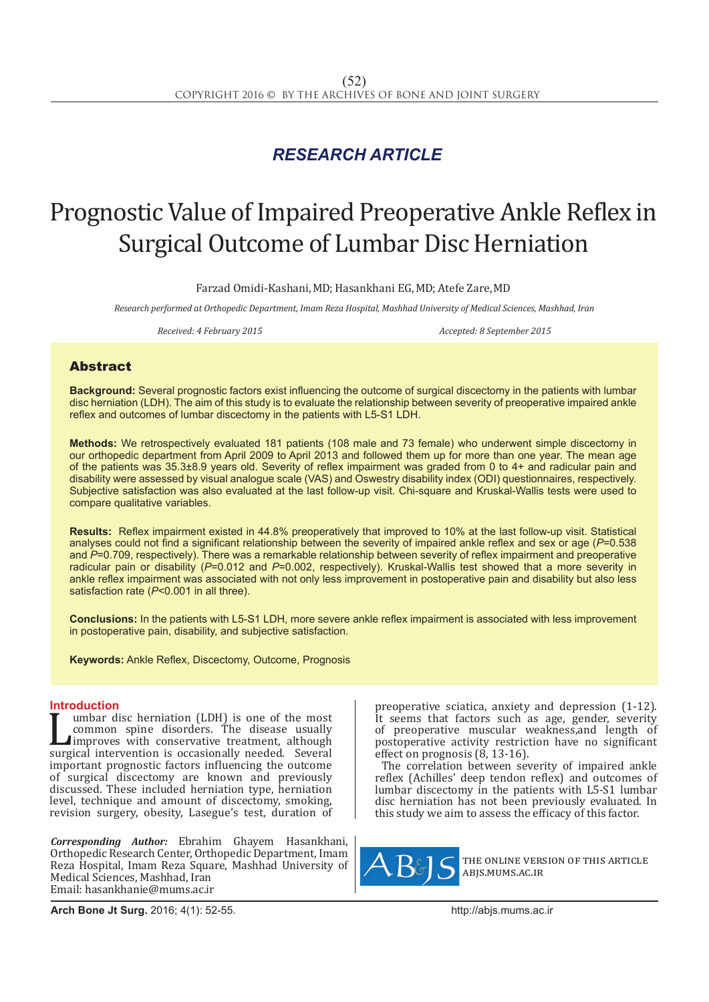## *RESEARCH ARTICLE*

# Prognostic Value of Impaired Preoperative Ankle Reflex in Surgical Outcome of Lumbar Disc Herniation

Farzad Omidi-Kashani, MD; Hasankhani EG, MD; Atefe Zare, MD

*Research performed at Orthopedic Department, Imam Reza Hospital, Mashhad University of Medical Sciences, Mashhad, Iran* 

*Received: 4 February 2015 Accepted: 8 September 2015*

### Abstract

**Background:** Several prognostic factors exist influencing the outcome of surgical discectomy in the patients with lumbar disc herniation (LDH). The aim of this study is to evaluate the relationship between severity of preoperative impaired ankle reflex and outcomes of lumbar discectomy in the patients with L5-S1 LDH.

**Methods:** We retrospectively evaluated 181 patients (108 male and 73 female) who underwent simple discectomy in our orthopedic department from April 2009 to April 2013 and followed them up for more than one year. The mean age of the patients was 35.3±8.9 years old. Severity of reflex impairment was graded from 0 to 4+ and radicular pain and disability were assessed by visual analogue scale (VAS) and Oswestry disability index (ODI) questionnaires, respectively. Subjective satisfaction was also evaluated at the last follow-up visit. Chi-square and Kruskal-Wallis tests were used to compare qualitative variables.

**Results:** Reflex impairment existed in 44.8% preoperatively that improved to 10% at the last follow-up visit. Statistical analyses could not find a significant relationship between the severity of impaired ankle reflex and sex or age (*P*=0.538 and *P*=0.709, respectively). There was a remarkable relationship between severity of reflex impairment and preoperative radicular pain or disability (*P*=0.012 and *P*=0.002, respectively). Kruskal-Wallis test showed that a more severity in ankle reflex impairment was associated with not only less improvement in postoperative pain and disability but also less satisfaction rate (*P*<0.001 in all three).

**Conclusions:** In the patients with L5-S1 LDH, more severe ankle reflex impairment is associated with less improvement in postoperative pain, disability, and subjective satisfaction.

**Keywords:** Ankle Reflex, Discectomy, Outcome, Prognosis

**Introduction**<br>**T** umbar disc herniation (LDH) is one of the most Lumbar disc herniation (LDH) is one of the most<br>
common spine disorders. The disease usually<br>
surgical intervention is occasionally needed. Several<br>
important prognostic factors influencing the outcome common spine disorders. The disease usually improves with conservative treatment, although important prognostic factors influencing the outcome of surgical discectomy are known and previously discussed. These included herniation type, herniation level, technique and amount of discectomy, smoking, revision surgery, obesity, Lasegue's test, duration of

*Corresponding Author:* Ebrahim Ghayem Hasankhani, Orthopedic Research Center, Orthopedic Department, Imam Reza Hospital, Imam Reza Square, Mashhad University of Medical Sciences, Mashhad, Iran Email: hasankhanie@mums.ac.ir

preoperative sciatica, anxiety and depression (1-12). It seems that factors such as age, gender, severity of preoperative muscular weakness,and length of postoperative activity restriction have no significant effect on prognosis (8, 13-16).

The correlation between severity of impaired ankle reflex (Achilles' deep tendon reflex) and outcomes of lumbar discectomy in the patients with L5-S1 lumbar disc herniation has not been previously evaluated. In this study we aim to assess the efficacy of this factor.



the online version of this article abjs.mums.ac.ir

**Arch Bone Jt Surg.** 2016; 4(1): 52-55.http://abjs.mums.ac.ir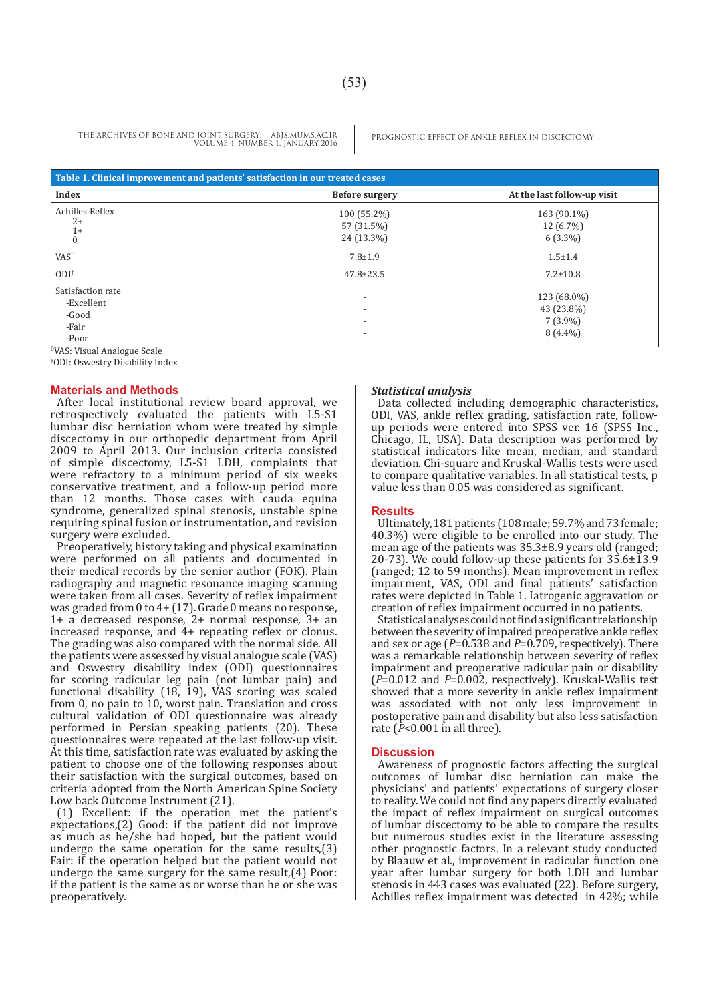THE ARCHIVES OF BONE AND JOINT SURGERY. ABJS.MUMS.AC.IR PROGNOSTIC EFFECT OF ANKLE REFLEX IN DISCECTOMY VOLUME 4. NUMBER 1. JANUARY 2016

| Table 1. Clinical improvement and patients' satisfaction in our treated cases        |                                                                                                              |                                                                           |
|--------------------------------------------------------------------------------------|--------------------------------------------------------------------------------------------------------------|---------------------------------------------------------------------------|
| <b>Index</b>                                                                         | <b>Before surgery</b>                                                                                        | At the last follow-up visit                                               |
| Achilles Reflex<br>$2+$<br>$1+$<br>$\theta$<br>VAS <sup>0</sup><br>$ODI^{\dagger}$   | 100 (55.2%)<br>57 (31.5%)<br>24 (13.3%)<br>$7.8 \pm 1.9$<br>$47.8 \pm 23.5$                                  | 163 (90.1%)<br>12 (6.7%)<br>$6(3.3\%)$<br>$1.5 \pm 1.4$<br>$7.2 \pm 10.8$ |
| Satisfaction rate<br>-Excellent<br>-Good<br>-Fair<br>-Poor<br>$IIXIAC, XI: A \cup I$ | $\overline{\phantom{a}}$<br>$\overline{\phantom{a}}$<br>$\overline{\phantom{a}}$<br>$\overline{\phantom{a}}$ | 123 (68.0%)<br>43 (23.8%)<br>$7(3.9\%)$<br>$8(4.4\%)$                     |

<sup>0</sup>VAS: Visual Analogue Scale

† ODI: Oswestry Disability Index

#### **Materials and Methods**

After local institutional review board approval, we retrospectively evaluated the patients with L5-S1 lumbar disc herniation whom were treated by simple discectomy in our orthopedic department from April 2009 to April 2013. Our inclusion criteria consisted of simple discectomy, L5-S1 LDH, complaints that were refractory to a minimum period of six weeks conservative treatment, and a follow-up period more than 12 months. Those cases with cauda equina syndrome, generalized spinal stenosis, unstable spine requiring spinal fusion or instrumentation, and revision surgery were excluded.

Preoperatively, history taking and physical examination were performed on all patients and documented in their medical records by the senior author (FOK). Plain radiography and magnetic resonance imaging scanning were taken from all cases. Severity of reflex impairment was graded from 0 to 4+ (17). Grade 0 means no response, 1+ a decreased response, 2+ normal response, 3+ an increased response, and 4+ repeating reflex or clonus. The grading was also compared with the normal side. All the patients were assessed by visual analogue scale (VAS) and Oswestry disability index (ODI) questionnaires for scoring radicular leg pain (not lumbar pain) and functional disability (18, 19), VAS scoring was scaled from 0, no pain to 10, worst pain. Translation and cross cultural validation of ODI questionnaire was already performed in Persian speaking patients (20). These questionnaires were repeated at the last follow-up visit. At this time, satisfaction rate was evaluated by asking the patient to choose one of the following responses about their satisfaction with the surgical outcomes, based on criteria adopted from the North American Spine Society Low back Outcome Instrument (21).

(1) Excellent: if the operation met the patient's expectations,(2) Good: if the patient did not improve as much as he/she had hoped, but the patient would undergo the same operation for the same results,(3) Fair: if the operation helped but the patient would not undergo the same surgery for the same result,(4) Poor: if the patient is the same as or worse than he or she was preoperatively.

#### *Statistical analysis*

Data collected including demographic characteristics, ODI, VAS, ankle reflex grading, satisfaction rate, followup periods were entered into SPSS ver. 16 (SPSS Inc., Chicago, IL, USA). Data description was performed by statistical indicators like mean, median, and standard deviation. Chi-square and Kruskal-Wallis tests were used to compare qualitative variables. In all statistical tests, p value less than 0.05 was considered as significant.

#### **Results**

Ultimately, 181 patients (108 male; 59.7% and 73 female; 40.3%) were eligible to be enrolled into our study. The mean age of the patients was 35.3±8.9 years old (ranged; 20-73). We could follow-up these patients for 35.6±13.9 (ranged; 12 to 59 months). Mean improvement in reflex impairment, VAS, ODI and final patients' satisfaction rates were depicted in Table 1. Iatrogenic aggravation or creation of reflex impairment occurred in no patients.

Statistical analyses could not find a significant relationship between the severity of impaired preoperative ankle reflex and sex or age (*P*=0.538 and *P*=0.709, respectively). There was a remarkable relationship between severity of reflex impairment and preoperative radicular pain or disability (*P*=0.012 and *P*=0.002, respectively). Kruskal-Wallis test showed that a more severity in ankle reflex impairment was associated with not only less improvement in postoperative pain and disability but also less satisfaction rate (*P*<0.001 in all three).

#### **Discussion**

Awareness of prognostic factors affecting the surgical outcomes of lumbar disc herniation can make the physicians' and patients' expectations of surgery closer to reality. We could not find any papers directly evaluated the impact of reflex impairment on surgical outcomes of lumbar discectomy to be able to compare the results but numerous studies exist in the literature assessing other prognostic factors. In a relevant study conducted by Blaauw et al., improvement in radicular function one year after lumbar surgery for both LDH and lumbar stenosis in 443 cases was evaluated (22). Before surgery, Achilles reflex impairment was detected in 42%; while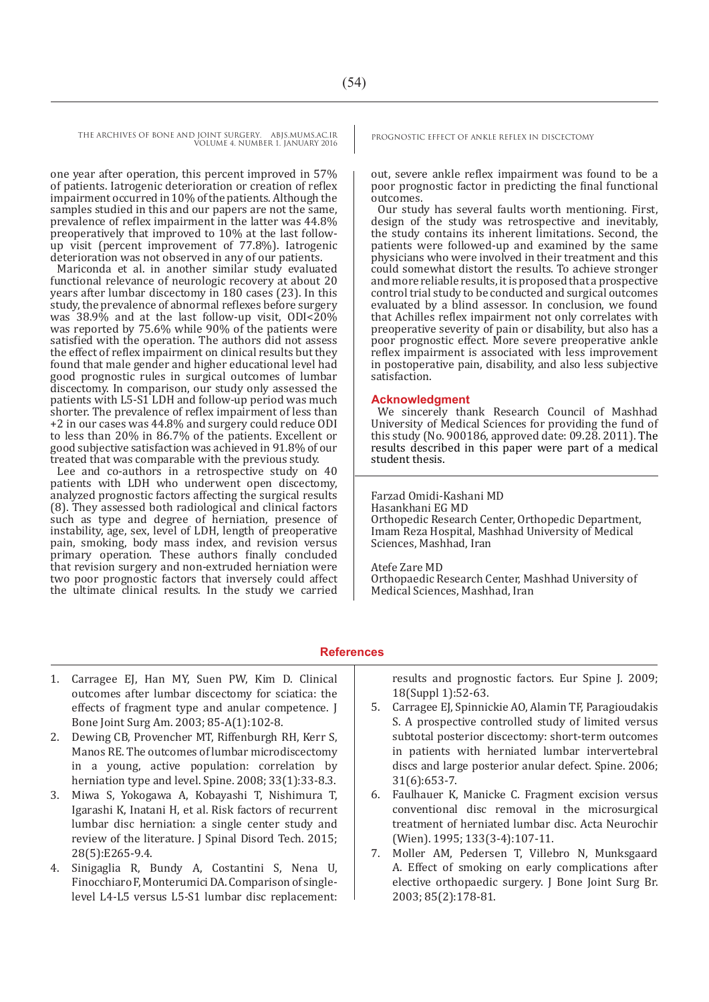THE ARCHIVES OF BONE AND JOINT SURGERY. ABJS.MUMS.AC.IR PROGNOSTIC EFFECT OF ANKLE REFLEX IN DISCECTOMY VOLUME 4. NUMBER 1. JANUARY 2016

one year after operation, this percent improved in 57% of patients. Iatrogenic deterioration or creation of reflex impairment occurred in 10% of the patients. Although the samples studied in this and our papers are not the same, prevalence of reflex impairment in the latter was 44.8% preoperatively that improved to 10% at the last followup visit (percent improvement of 77.8%). Iatrogenic deterioration was not observed in any of our patients.

Mariconda et al. in another similar study evaluated functional relevance of neurologic recovery at about 20 years after lumbar discectomy in 180 cases (23). In this study, the prevalence of abnormal reflexes before surgery was 38.9% and at the last follow-up visit, ODI<20% was reported by 75.6% while 90% of the patients were satisfied with the operation. The authors did not assess the effect of reflex impairment on clinical results but they found that male gender and higher educational level had good prognostic rules in surgical outcomes of lumbar discectomy. In comparison, our study only assessed the patients with L5-S1 LDH and follow-up period was much shorter. The prevalence of reflex impairment of less than +2 in our cases was 44.8% and surgery could reduce ODI to less than 20% in 86.7% of the patients. Excellent or good subjective satisfaction was achieved in 91.8% of our treated that was comparable with the previous study.

Lee and co-authors in a retrospective study on 40 patients with LDH who underwent open discectomy, analyzed prognostic factors affecting the surgical results (8). They assessed both radiological and clinical factors such as type and degree of herniation, presence of instability, age, sex, level of LDH, length of preoperative pain, smoking, body mass index, and revision versus primary operation. These authors finally concluded that revision surgery and non-extruded herniation were two poor prognostic factors that inversely could affect the ultimate clinical results. In the study we carried

out, severe ankle reflex impairment was found to be a poor prognostic factor in predicting the final functional **outcomes** 

Our study has several faults worth mentioning. First, design of the study was retrospective and inevitably, the study contains its inherent limitations. Second, the patients were followed-up and examined by the same physicians who were involved in their treatment and this could somewhat distort the results. To achieve stronger and more reliable results, it is proposed that a prospective control trial study to be conducted and surgical outcomes evaluated by a blind assessor. In conclusion, we found that Achilles reflex impairment not only correlates with preoperative severity of pain or disability, but also has a poor prognostic effect. More severe preoperative ankle reflex impairment is associated with less improvement in postoperative pain, disability, and also less subjective satisfaction.

#### **Acknowledgment**

We sincerely thank Research Council of Mashhad University of Medical Sciences for providing the fund of this study (No. 900186, approved date: 09.28. 2011). The results described in this paper were part of a medical student thesis.

#### Farzad Omidi-Kashani MD

Hasankhani EG MD Orthopedic Research Center, Orthopedic Department, Imam Reza Hospital, Mashhad University of Medical Sciences, Mashhad, Iran

#### Atefe Zare MD

Orthopaedic Research Center, Mashhad University of Medical Sciences, Mashhad, Iran

#### **References**

- 1. Carragee EJ, Han MY, Suen PW, Kim D. Clinical outcomes after lumbar discectomy for sciatica: the effects of fragment type and anular competence. J Bone Joint Surg Am. 2003; 85-A(1):102-8.
- 2. Dewing CB, Provencher MT, Riffenburgh RH, Kerr S, Manos RE. The outcomes of lumbar microdiscectomy in a young, active population: correlation by herniation type and level. Spine. 2008; 33(1):33-8.3.
- 3. Miwa S, Yokogawa A, Kobayashi T, Nishimura T, Igarashi K, Inatani H, et al. Risk factors of recurrent lumbar disc herniation: a single center study and review of the literature. J Spinal Disord Tech. 2015; 28(5):E265-9.4.
- 4. Sinigaglia R, Bundy A, Costantini S, Nena U, Finocchiaro F, Monterumici DA. Comparison of singlelevel L4-L5 versus L5-S1 lumbar disc replacement:

results and prognostic factors. Eur Spine J. 2009; 18(Suppl 1):52-63.

- 5. Carragee EJ, Spinnickie AO, Alamin TF, Paragioudakis S. A prospective controlled study of limited versus subtotal posterior discectomy: short-term outcomes in patients with herniated lumbar intervertebral discs and large posterior anular defect. Spine. 2006; 31(6):653-7.
- 6. Faulhauer K, Manicke C. Fragment excision versus conventional disc removal in the microsurgical treatment of herniated lumbar disc. Acta Neurochir (Wien). 1995; 133(3-4):107-11.
- 7. Moller AM, Pedersen T, Villebro N, Munksgaard A. Effect of smoking on early complications after elective orthopaedic surgery. J Bone Joint Surg Br. 2003; 85(2):178-81.